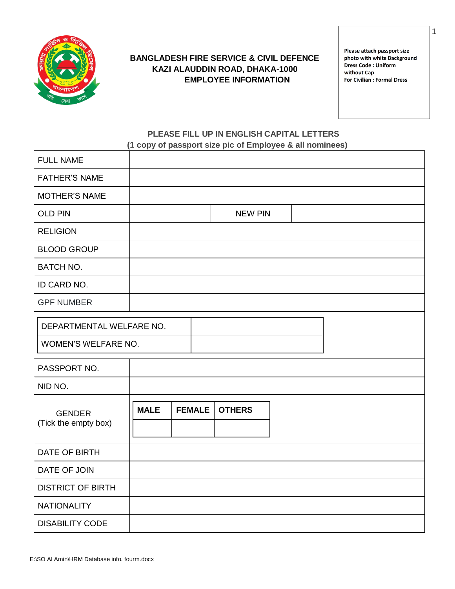

#### **BANGLADESH FIRE SERVICE & CIVIL DEFENCE KAZI ALAUDDIN ROAD, DHAKA-1000 EMPLOYEE INFORMATION**

Please attach passport size photo with white Background Dress Code: Uniform without Cap **For Civilian : Formal Dress** 

1

#### **PLEASE FILL UP IN ENGLISH CAPITAL LETTERS (1 copy of passport size pic of Employee & all nominees)**

| <b>FULL NAME</b>                      |             |               |                |  |
|---------------------------------------|-------------|---------------|----------------|--|
| <b>FATHER'S NAME</b>                  |             |               |                |  |
| <b>MOTHER'S NAME</b>                  |             |               |                |  |
| <b>OLD PIN</b>                        |             |               | <b>NEW PIN</b> |  |
| <b>RELIGION</b>                       |             |               |                |  |
| <b>BLOOD GROUP</b>                    |             |               |                |  |
| <b>BATCH NO.</b>                      |             |               |                |  |
| ID CARD NO.                           |             |               |                |  |
| <b>GPF NUMBER</b>                     |             |               |                |  |
| DEPARTMENTAL WELFARE NO.              |             |               |                |  |
| WOMEN'S WELFARE NO.                   |             |               |                |  |
| PASSPORT NO.                          |             |               |                |  |
| NID NO.                               |             |               |                |  |
| <b>GENDER</b><br>(Tick the empty box) | <b>MALE</b> | <b>FEMALE</b> | <b>OTHERS</b>  |  |
| DATE OF BIRTH                         |             |               |                |  |
| DATE OF JOIN                          |             |               |                |  |
| <b>DISTRICT OF BIRTH</b>              |             |               |                |  |
| <b>NATIONALITY</b>                    |             |               |                |  |
| <b>DISABILITY CODE</b>                |             |               |                |  |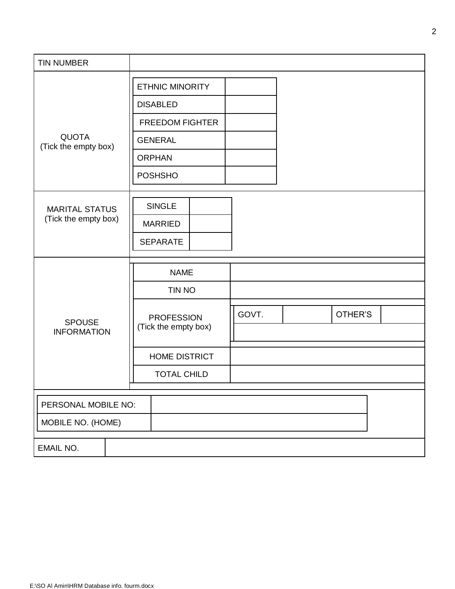| <b>TIN NUMBER</b>                    |                        |        |       |         |  |
|--------------------------------------|------------------------|--------|-------|---------|--|
|                                      | <b>ETHNIC MINORITY</b> |        |       |         |  |
|                                      | <b>DISABLED</b>        |        |       |         |  |
|                                      | <b>FREEDOM FIGHTER</b> |        |       |         |  |
| <b>QUOTA</b><br>(Tick the empty box) | <b>GENERAL</b>         |        |       |         |  |
|                                      | <b>ORPHAN</b>          |        |       |         |  |
|                                      | <b>POSHSHO</b>         |        |       |         |  |
|                                      |                        |        |       |         |  |
| <b>MARITAL STATUS</b>                | <b>SINGLE</b>          |        |       |         |  |
| (Tick the empty box)                 | <b>MARRIED</b>         |        |       |         |  |
|                                      | <b>SEPARATE</b>        |        |       |         |  |
|                                      |                        |        |       |         |  |
|                                      | <b>NAME</b>            |        |       |         |  |
|                                      |                        | TIN NO |       |         |  |
|                                      | <b>PROFESSION</b>      |        | GOVT. | OTHER'S |  |
| <b>SPOUSE</b><br><b>INFORMATION</b>  | (Tick the empty box)   |        |       |         |  |
|                                      | <b>HOME DISTRICT</b>   |        |       |         |  |
|                                      | <b>TOTAL CHILD</b>     |        |       |         |  |
|                                      |                        |        |       |         |  |
| PERSONAL MOBILE NO:                  |                        |        |       |         |  |
| MOBILE NO. (HOME)                    |                        |        |       |         |  |
| <b>EMAIL NO.</b>                     |                        |        |       |         |  |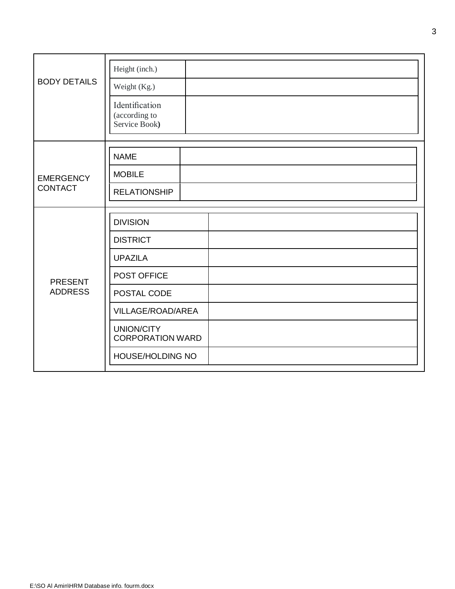|                     | Height (inch.)                                   |
|---------------------|--------------------------------------------------|
| <b>BODY DETAILS</b> | Weight (Kg.)                                     |
|                     | Identification<br>(according to<br>Service Book) |
|                     | <b>NAME</b>                                      |
| <b>EMERGENCY</b>    | <b>MOBILE</b>                                    |
| <b>CONTACT</b>      | <b>RELATIONSHIP</b>                              |
|                     |                                                  |
|                     | <b>DIVISION</b>                                  |
|                     | <b>DISTRICT</b>                                  |
|                     | <b>UPAZILA</b>                                   |
| <b>PRESENT</b>      | POST OFFICE                                      |
| <b>ADDRESS</b>      | POSTAL CODE                                      |
|                     | VILLAGE/ROAD/AREA                                |
|                     | UNION/CITY<br><b>CORPORATION WARD</b>            |
|                     | HOUSE/HOLDING NO                                 |
|                     |                                                  |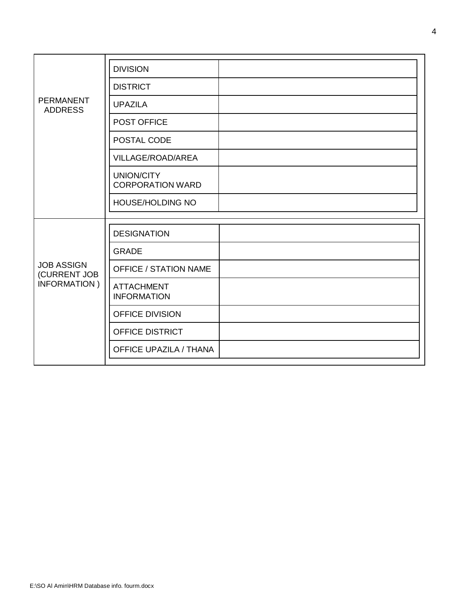|                                    | <b>DIVISION</b>                              |  |
|------------------------------------|----------------------------------------------|--|
|                                    | <b>DISTRICT</b>                              |  |
| <b>PERMANENT</b><br><b>ADDRESS</b> | <b>UPAZILA</b>                               |  |
|                                    | POST OFFICE                                  |  |
|                                    | POSTAL CODE                                  |  |
|                                    | VILLAGE/ROAD/AREA                            |  |
|                                    | <b>UNION/CITY</b><br><b>CORPORATION WARD</b> |  |
|                                    | HOUSE/HOLDING NO                             |  |
|                                    |                                              |  |
|                                    | <b>DESIGNATION</b>                           |  |
|                                    | <b>GRADE</b>                                 |  |
| <b>JOB ASSIGN</b><br>(CURRENT JOB  | <b>OFFICE / STATION NAME</b>                 |  |
| INFORMATION)                       | <b>ATTACHMENT</b><br><b>INFORMATION</b>      |  |
|                                    | OFFICE DIVISION                              |  |
|                                    | <b>OFFICE DISTRICT</b>                       |  |
|                                    | <b>OFFICE UPAZILA / THANA</b>                |  |
|                                    |                                              |  |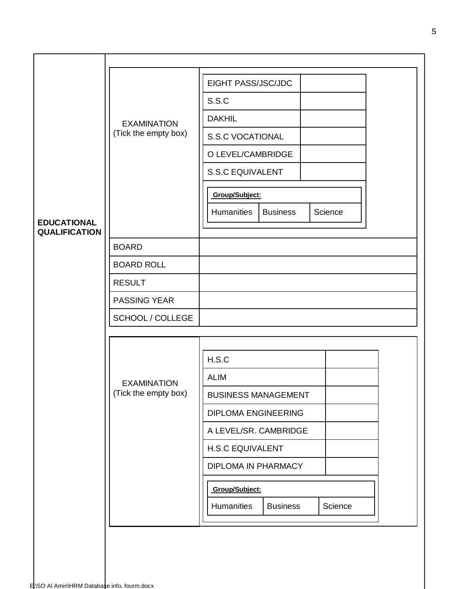| <b>EDUCATIONAL</b><br><b>QUALIFICATION</b> | <b>EXAMINATION</b><br>(Tick the empty box) | EIGHT PASS/JSC/JDC<br>S.S.C<br><b>DAKHIL</b><br><b>S.S.C VOCATIONAL</b><br>O LEVEL/CAMBRIDGE<br>S.S.C EQUIVALENT<br>Group/Subject:<br>Humanities<br><b>Business</b><br>Science                                                   |
|--------------------------------------------|--------------------------------------------|----------------------------------------------------------------------------------------------------------------------------------------------------------------------------------------------------------------------------------|
|                                            | <b>BOARD</b>                               |                                                                                                                                                                                                                                  |
|                                            | <b>BOARD ROLL</b>                          |                                                                                                                                                                                                                                  |
|                                            | <b>RESULT</b>                              |                                                                                                                                                                                                                                  |
|                                            | <b>PASSING YEAR</b>                        |                                                                                                                                                                                                                                  |
|                                            | SCHOOL / COLLEGE                           |                                                                                                                                                                                                                                  |
|                                            |                                            |                                                                                                                                                                                                                                  |
|                                            | <b>EXAMINATION</b><br>(Tick the empty box) | H.S.C<br><b>ALIM</b><br><b>BUSINESS MANAGEMENT</b><br><b>DIPLOMA ENGINEERING</b><br>A LEVEL/SR. CAMBRIDGE<br><b>H.S.C EQUIVALENT</b><br><b>DIPLOMA IN PHARMACY</b><br>Group/Subject:<br>Humanities<br>Science<br><b>Business</b> |
|                                            |                                            |                                                                                                                                                                                                                                  |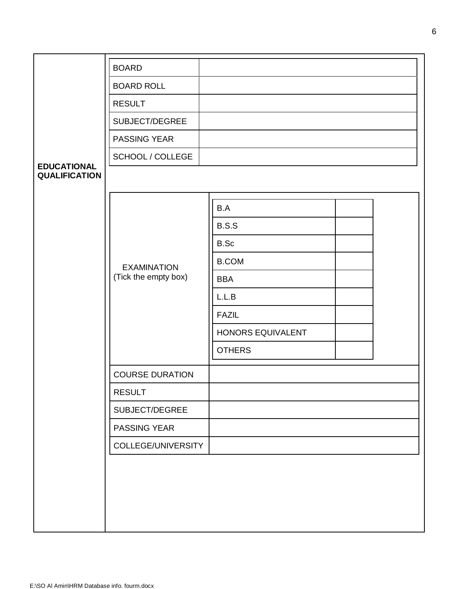|                                            | <b>BOARD</b>           |                   |  |
|--------------------------------------------|------------------------|-------------------|--|
|                                            | <b>BOARD ROLL</b>      |                   |  |
|                                            | <b>RESULT</b>          |                   |  |
|                                            | SUBJECT/DEGREE         |                   |  |
|                                            | <b>PASSING YEAR</b>    |                   |  |
|                                            | SCHOOL / COLLEGE       |                   |  |
| <b>EDUCATIONAL</b><br><b>QUALIFICATION</b> |                        |                   |  |
|                                            |                        |                   |  |
|                                            |                        | B.A               |  |
|                                            |                        | B.S.S             |  |
|                                            |                        | B.Sc              |  |
|                                            | <b>EXAMINATION</b>     | <b>B.COM</b>      |  |
|                                            | (Tick the empty box)   | <b>BBA</b>        |  |
|                                            |                        | L.L.B             |  |
|                                            |                        | <b>FAZIL</b>      |  |
|                                            |                        | HONORS EQUIVALENT |  |
|                                            |                        | <b>OTHERS</b>     |  |
|                                            | <b>COURSE DURATION</b> |                   |  |
|                                            | <b>RESULT</b>          |                   |  |
|                                            | SUBJECT/DEGREE         |                   |  |
|                                            | PASSING YEAR           |                   |  |
|                                            | COLLEGE/UNIVERSITY     |                   |  |
|                                            |                        |                   |  |
|                                            |                        |                   |  |
|                                            |                        |                   |  |
|                                            |                        |                   |  |
|                                            |                        |                   |  |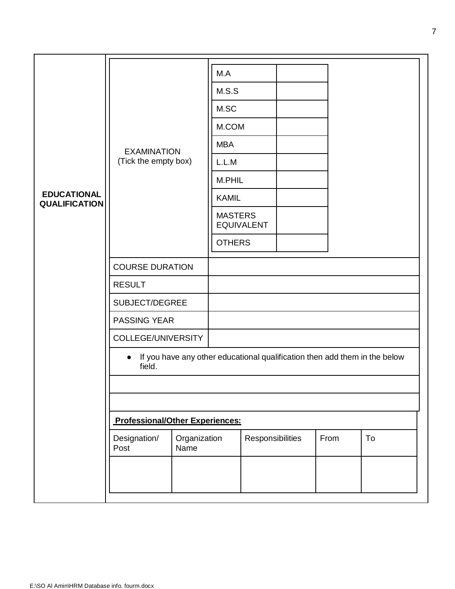|                                            |                                        |                      | M.A            |                   |  |                                                                            |    |
|--------------------------------------------|----------------------------------------|----------------------|----------------|-------------------|--|----------------------------------------------------------------------------|----|
|                                            |                                        | M.S.S                |                |                   |  |                                                                            |    |
|                                            |                                        |                      | M.SC           |                   |  |                                                                            |    |
|                                            |                                        |                      | M.COM          |                   |  |                                                                            |    |
|                                            | <b>EXAMINATION</b>                     |                      | <b>MBA</b>     |                   |  |                                                                            |    |
|                                            | (Tick the empty box)                   |                      | L.L.M          |                   |  |                                                                            |    |
|                                            |                                        |                      | M.PHIL         |                   |  |                                                                            |    |
| <b>EDUCATIONAL</b><br><b>QUALIFICATION</b> |                                        |                      | <b>KAMIL</b>   |                   |  |                                                                            |    |
|                                            |                                        |                      | <b>MASTERS</b> | <b>EQUIVALENT</b> |  |                                                                            |    |
|                                            |                                        |                      | <b>OTHERS</b>  |                   |  |                                                                            |    |
|                                            | <b>COURSE DURATION</b>                 |                      |                |                   |  |                                                                            |    |
|                                            | <b>RESULT</b>                          |                      |                |                   |  |                                                                            |    |
|                                            | SUBJECT/DEGREE                         |                      |                |                   |  |                                                                            |    |
|                                            | <b>PASSING YEAR</b>                    |                      |                |                   |  |                                                                            |    |
|                                            | COLLEGE/UNIVERSITY                     |                      |                |                   |  |                                                                            |    |
|                                            | field.                                 |                      |                |                   |  | If you have any other educational qualification then add them in the below |    |
|                                            |                                        |                      |                |                   |  |                                                                            |    |
|                                            | <b>Professional/Other Experiences:</b> |                      |                |                   |  |                                                                            |    |
|                                            | Designation/<br>Post                   | Organization<br>Name |                | Responsibilities  |  | From                                                                       | To |
|                                            |                                        |                      |                |                   |  |                                                                            |    |
|                                            |                                        |                      |                |                   |  |                                                                            |    |
|                                            |                                        |                      |                |                   |  |                                                                            |    |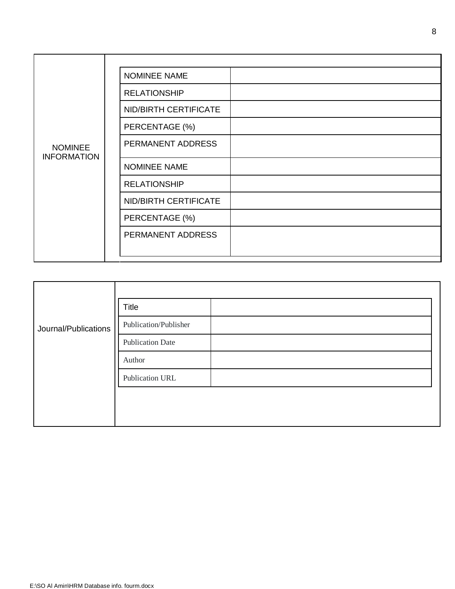|                                      | NOMINEE NAME          |
|--------------------------------------|-----------------------|
|                                      | <b>RELATIONSHIP</b>   |
|                                      | NID/BIRTH CERTIFICATE |
|                                      | PERCENTAGE (%)        |
| <b>NOMINEE</b><br><b>INFORMATION</b> | PERMANENT ADDRESS     |
|                                      | <b>NOMINEE NAME</b>   |
|                                      | <b>RELATIONSHIP</b>   |
|                                      | NID/BIRTH CERTIFICATE |
|                                      | PERCENTAGE (%)        |
|                                      | PERMANENT ADDRESS     |
|                                      |                       |
|                                      |                       |

| Journal/Publications | Title                   |  |
|----------------------|-------------------------|--|
|                      | Publication/Publisher   |  |
|                      | <b>Publication Date</b> |  |
|                      | Author                  |  |
|                      | Publication URL         |  |
|                      |                         |  |
|                      |                         |  |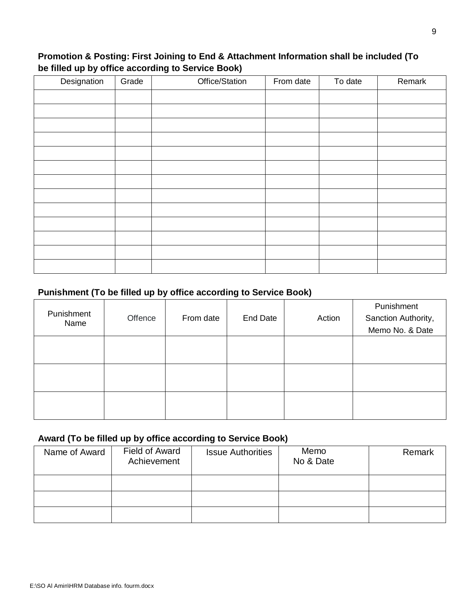#### **Promotion & Posting: First Joining to End & Attachment Information shall be included (To be filled up by office according to Service Book)**

| Designation | Grade | Office/Station | From date | To date | Remark |
|-------------|-------|----------------|-----------|---------|--------|
|             |       |                |           |         |        |
|             |       |                |           |         |        |
|             |       |                |           |         |        |
|             |       |                |           |         |        |
|             |       |                |           |         |        |
|             |       |                |           |         |        |
|             |       |                |           |         |        |
|             |       |                |           |         |        |
|             |       |                |           |         |        |
|             |       |                |           |         |        |
|             |       |                |           |         |        |
|             |       |                |           |         |        |
|             |       |                |           |         |        |

## **Punishment (To be filled up by office according to Service Book)**

| Punishment<br>Name | Offence | From date | <b>End Date</b> | Action | Punishment<br>Sanction Authority,<br>Memo No. & Date |
|--------------------|---------|-----------|-----------------|--------|------------------------------------------------------|
|                    |         |           |                 |        |                                                      |
|                    |         |           |                 |        |                                                      |
|                    |         |           |                 |        |                                                      |

#### **Award (To be filled up by office according to Service Book)**

| Name of Award | Field of Award<br>Achievement | <b>Issue Authorities</b> | Memo<br>No & Date | Remark |
|---------------|-------------------------------|--------------------------|-------------------|--------|
|               |                               |                          |                   |        |
|               |                               |                          |                   |        |
|               |                               |                          |                   |        |